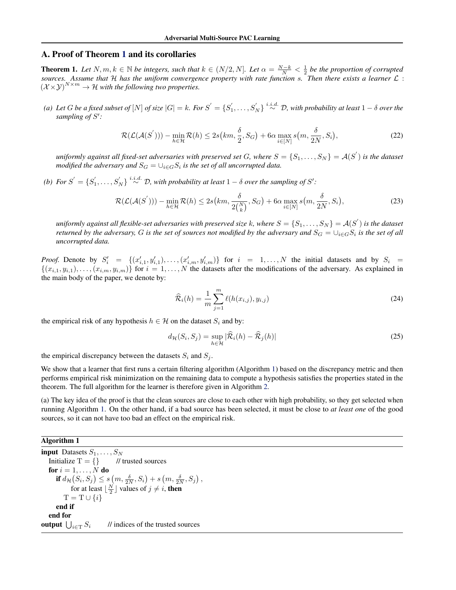# A. Proof of Theorem 1 and its corollaries

**Theorem 1.** Let  $N, m, k \in \mathbb{N}$  be integers, such that  $k \in (N/2, N]$ . Let  $\alpha = \frac{N-k}{N} < \frac{1}{2}$  be the proportion of corrupted *sources. Assume that* H *has the uniform convergence property with rate function* s*. Then there exists a learner* L :  $(\mathcal{X} \times \mathcal{Y})^{N \times m} \to \mathcal{H}$  with the following two properties.

(a) Let G be a fixed subset of  $[N]$  of size  $|G|=k$ . For  $S^{'}=\{S_1^{'},\ldots,S_{N}^{'}\} \stackrel{i.i.d.}{\sim} \mathcal{D}$ , with probability at least  $1-\delta$  over the sampling of  $S'$ :

$$
\mathcal{R}(\mathcal{L}(\mathcal{A}(S'))) - \min_{h \in \mathcal{H}} \mathcal{R}(h) \le 2s\big(km, \frac{\delta}{2}, S_G\big) + 6\alpha \max_{i \in [N]} s\big(m, \frac{\delta}{2N}, S_i\big),\tag{22}
$$

uniformly against all fixed-set adversaries with preserved set G, where  $S=\{S_1,\ldots,S_N\}=\mathcal{A}(S^{'})$  is the dataset modified the adversary and  $S_G = \cup_{i \in G} S_i$  is the set of all uncorrupted data.

(b) For  $S' = \{S'_1, \ldots, S'_N\} \stackrel{i.i.d.}{\sim} \mathcal{D}$ , with probability at least  $1 - \delta$  over the sampling of  $S'$ :

$$
\mathcal{R}(\mathcal{L}(\mathcal{A}(S'))) - \min_{h \in \mathcal{H}} \mathcal{R}(h) \le 2s(km, \frac{\delta}{2\binom{N}{k}}, S_G) + 6\alpha \max_{i \in [N]} s(m, \frac{\delta}{2N}, S_i),\tag{23}
$$

uniformly against all flexible-set adversaries with preserved size  $k$ , where  $S=\{S_1,\ldots,S_N\}=\mathcal{A}(S')$  is the dataset *returned by the adversary, G is the set of sources not modified by the adversary and*  $S_G = \cup_{i \in G} S_i$  *is the set of all uncorrupted data.*

*Proof.* Denote by  $S_i' = \{(x'_{i,1}, y'_{i,1}), \ldots, (x'_{i,m}, y'_{i,m})\}$  for  $i = 1, \ldots, N$  the initial datasets and by  $S_i =$  $\{(x_{i,1}, y_{i,1}), \ldots, (x_{i,m}, y_{i,m})\}$  for  $i = 1, \ldots, N$  the datasets after the modifications of the adversary. As explained in the main body of the paper, we denote by:

$$
\hat{\mathcal{R}}_i(h) = \frac{1}{m} \sum_{j=1}^m \ell(h(x_{i,j}), y_{i,j})
$$
\n(24)

the empirical risk of any hypothesis  $h \in \mathcal{H}$  on the dataset  $S_i$  and by:

$$
d_{\mathcal{H}}(S_i, S_j) = \sup_{h \in \mathcal{H}} |\widehat{\mathcal{R}}_i(h) - \widehat{\mathcal{R}}_j(h)|
$$
\n(25)

the empirical discrepancy between the datasets  $S_i$  and  $S_j$ .

We show that a learner that first runs a certain filtering algorithm (Algorithm 1) based on the discrepancy metric and then performs empirical risk minimization on the remaining data to compute a hypothesis satisfies the properties stated in the theorem. The full algorithm for the learner is therefore given in Algorithm [2.](#page-1-0)

(a) The key idea of the proof is that the clean sources are close to each other with high probability, so they get selected when running Algorithm 1. On the other hand, if a bad source has been selected, it must be close to *at least one* of the good sources, so it can not have too bad an effect on the empirical risk.

#### Algorithm 1

**input** Datasets  $S_1, \ldots, S_N$ Initialize  $T = \{\}$  // trusted sources for  $i = 1, \ldots, N$  do if  $d_{\mathcal{H}}(S_i, S_j) \leq s(m, \frac{\delta}{2N}, S_i) + s(m, \frac{\delta}{2N}, S_j),$ for at least  $\lfloor \frac{N}{2} \rfloor$  values of  $j \neq i$ , then  $T = T \cup \{i\}$ end if end for output  $\bigcup_{i\in\mathrm{T}}S_i$ // indices of the trusted sources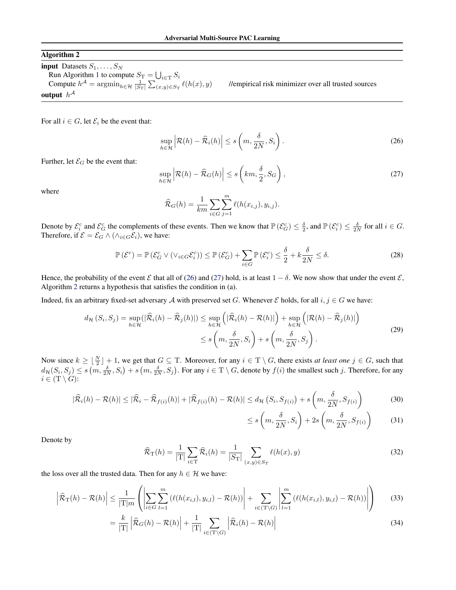## <span id="page-1-0"></span>Algorithm 2

input Datasets  $S_1, \ldots, S_N$ Run Algorithm 1 to compute  $S_T = \bigcup_{i \in T} S_i$ Compute  $h^{\mathcal{A}} = \operatorname{argmin}_{h \in \mathcal{H}} \frac{1}{|S_{\mathrm{T}}|} \sum_{(x,y) \in S_{\mathrm{T}}}$ output  $h^{\mathcal{A}}$ 

//empirical risk minimizer over all trusted sources

For all  $i \in G$ , let  $\mathcal{E}_i$  be the event that:

$$
\sup_{h \in \mathcal{H}} \left| \mathcal{R}(h) - \widehat{\mathcal{R}}_i(h) \right| \le s \left( m, \frac{\delta}{2N}, S_i \right). \tag{26}
$$

Further, let  $\mathcal{E}_G$  be the event that:

$$
\sup_{h \in \mathcal{H}} \left| \mathcal{R}(h) - \widehat{\mathcal{R}}_G(h) \right| \le s \left( km, \frac{\delta}{2}, S_G \right),\tag{27}
$$

where

$$
\widehat{\mathcal{R}}_G(h) = \frac{1}{km} \sum_{i \in G} \sum_{j=1}^m \ell(h(x_{i,j}), y_{i,j}).
$$

Denote by  $\mathcal{E}_{i}^{c}$  and  $\mathcal{E}_{G}^{c}$  the complements of these events. Then we know that  $\mathbb{P}(\mathcal{E}_{G}^{c}) \leq \frac{\delta}{2}$ , and  $\mathbb{P}(\mathcal{E}_{i}^{c}) \leq \frac{\delta}{2N}$  for all  $i \in G$ . Therefore, if  $\mathcal{E} = \mathcal{E}_G \wedge (\wedge_{i \in G} \mathcal{E}_i)$ , we have:

$$
\mathbb{P}\left(\mathcal{E}^c\right) = \mathbb{P}\left(\mathcal{E}_G^c \vee \left(\vee_{i \in G} \mathcal{E}_i^c\right)\right) \le \mathbb{P}\left(\mathcal{E}_G^c\right) + \sum_{i \in G} \mathbb{P}\left(\mathcal{E}_i^c\right) \le \frac{\delta}{2} + k \frac{\delta}{2N} \le \delta. \tag{28}
$$

Hence, the probability of the event  $\mathcal E$  that all of (26) and (27) hold, is at least  $1 - \delta$ . We now show that under the event  $\mathcal E$ , Algorithm 2 returns a hypothesis that satisfies the condition in (a).

Indeed, fix an arbitrary fixed-set adversary A with preserved set G. Whenever  $\mathcal E$  holds, for all  $i, j \in G$  we have:

$$
d_{\mathcal{H}}\left(S_{i}, S_{j}\right) = \sup_{h \in \mathcal{H}}\left(|\widehat{\mathcal{R}}_{i}(h) - \widehat{\mathcal{R}}_{j}(h)|\right) \le \sup_{h \in \mathcal{H}}\left(|\widehat{\mathcal{R}}_{i}(h) - \mathcal{R}(h)|\right) + \sup_{h \in \mathcal{H}}\left(|\mathcal{R}(h) - \widehat{\mathcal{R}}_{j}(h)|\right)
$$
  

$$
\le s\left(m, \frac{\delta}{2N}, S_{i}\right) + s\left(m, \frac{\delta}{2N}, S_{j}\right).
$$
\n(29)

Now since  $k \geq \lfloor \frac{N}{2} \rfloor + 1$ , we get that  $G \subseteq T$ . Moreover, for any  $i \in T \setminus G$ , there exists *at least one*  $j \in G$ , such that  $d_{\mathcal{H}}(S_i, S_j) \leq s(m, \frac{\delta}{2N}, S_i) + s(m, \frac{\delta}{2N}, S_j)$ . For any  $i \in \mathcal{T} \setminus G$ , denote by  $f(i)$  the smallest such j. Therefore, for any  $i \in (\mathcal{T} \setminus G)$ :

$$
|\widehat{\mathcal{R}}_i(h) - \mathcal{R}(h)| \leq |\widehat{\mathcal{R}}_i - \widehat{\mathcal{R}}_{f(i)}(h)| + |\widehat{\mathcal{R}}_{f(i)}(h) - \mathcal{R}(h)| \leq d_{\mathcal{H}}\left(S_i, S_{f(i)}\right) + s\left(m, \frac{\delta}{2N}, S_{f(i)}\right)
$$
(30)

$$
\leq s\left(m, \frac{\delta}{2N}, S_i\right) + 2s\left(m, \frac{\delta}{2N}, S_{f(i)}\right) \tag{31}
$$

Denote by

$$
\widehat{\mathcal{R}}_{\mathrm{T}}(h) = \frac{1}{|\mathrm{T}|} \sum_{i \in \mathrm{T}} \widehat{\mathcal{R}}_i(h) = \frac{1}{|S_{\mathrm{T}}|} \sum_{(x,y) \in S_{\mathrm{T}}} \ell(h(x), y)
$$
\n(32)

the loss over all the trusted data. Then for any  $h \in \mathcal{H}$  we have:

$$
\left| \widehat{\mathcal{R}}_{\mathrm{T}}(h) - \mathcal{R}(h) \right| \leq \frac{1}{|\mathrm{T}|m} \left( \left| \sum_{i \in G} \sum_{l=1}^{m} \left( \ell(h(x_{i,l}), y_{i,l}) - \mathcal{R}(h) \right) \right| + \sum_{i \in (\mathrm{T} \setminus G)} \left| \sum_{l=1}^{m} \left( \ell(h(x_{i,l}), y_{i,l}) - \mathcal{R}(h) \right) \right| \right) \tag{33}
$$

$$
= \frac{k}{|T|} \left| \widehat{\mathcal{R}}_G(h) - \mathcal{R}(h) \right| + \frac{1}{|T|} \sum_{i \in (T \setminus G)} \left| \widehat{\mathcal{R}}_i(h) - \mathcal{R}(h) \right| \tag{34}
$$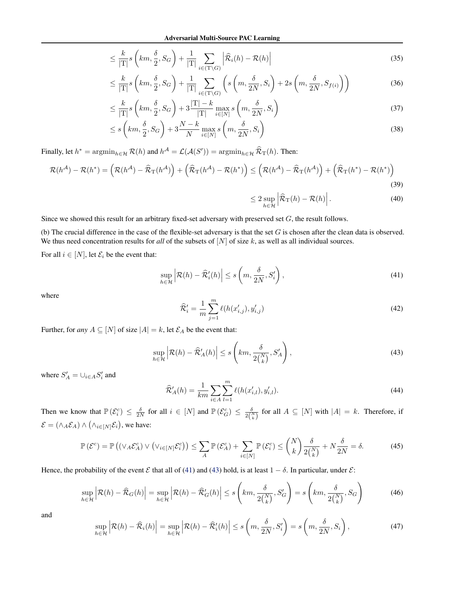$$
\leq \frac{k}{|\mathcal{T}|} s\left(km, \frac{\delta}{2}, S_G\right) + \frac{1}{|\mathcal{T}|} \sum_{i \in (\mathcal{T} \setminus G)} \left|\widehat{\mathcal{R}}_i(h) - \mathcal{R}(h)\right| \tag{35}
$$

$$
\leq \frac{k}{|T|} s\left(km, \frac{\delta}{2}, S_G\right) + \frac{1}{|T|} \sum_{i \in (T \setminus G)} \left(s\left(m, \frac{\delta}{2N}, S_i\right) + 2s\left(m, \frac{\delta}{2N}, S_{f(i)}\right)\right) \tag{36}
$$

$$
\leq \frac{k}{|\mathcal{T}|} s\left(km, \frac{\delta}{2}, S_G\right) + 3 \frac{|\mathcal{T}| - k}{|\mathcal{T}|} \max_{i \in [N]} s\left(m, \frac{\delta}{2N}, S_i\right) \tag{37}
$$

$$
\leq s\left(km,\frac{\delta}{2},S_G\right) + 3\frac{N-k}{N}\max_{i\in[N]}s\left(m,\frac{\delta}{2N},S_i\right) \tag{38}
$$

Finally, let  $h^* = \operatorname{argmin}_{h \in \mathcal{H}} \mathcal{R}(h)$  and  $h^{\mathcal{A}} = \mathcal{L}(\mathcal{A}(S')) = \operatorname{argmin}_{h \in \mathcal{H}} \widehat{\mathcal{R}}_{T}(h)$ . Then:

$$
\mathcal{R}(h^{\mathcal{A}}) - \mathcal{R}(h^*) = \left(\mathcal{R}(h^{\mathcal{A}}) - \widehat{\mathcal{R}}_{\mathrm{T}}(h^{\mathcal{A}})\right) + \left(\widehat{\mathcal{R}}_{\mathrm{T}}(h^{\mathcal{A}}) - \mathcal{R}(h^*)\right) \le \left(\mathcal{R}(h^{\mathcal{A}}) - \widehat{\mathcal{R}}_{\mathrm{T}}(h^{\mathcal{A}})\right) + \left(\widehat{\mathcal{R}}_{\mathrm{T}}(h^*) - \mathcal{R}(h^*)\right)
$$
\n(39)

$$
\leq 2 \sup_{h \in \mathcal{H}} \left| \widehat{\mathcal{R}}_{\mathrm{T}}(h) - \mathcal{R}(h) \right|.
$$
 (40)

Since we showed this result for an arbitrary fixed-set adversary with preserved set  $G$ , the result follows.

(b) The crucial difference in the case of the flexible-set adversary is that the set  $G$  is chosen after the clean data is observed. We thus need concentration results for *all* of the subsets of [N] of size k, as well as all individual sources.

For all  $i \in [N]$ , let  $\mathcal{E}_i$  be the event that:

$$
\sup_{h \in \mathcal{H}} \left| \mathcal{R}(h) - \widehat{\mathcal{R}}'_i(h) \right| \le s \left( m, \frac{\delta}{2N}, S'_i \right),\tag{41}
$$

where

$$
\widehat{\mathcal{R}}'_{i} = \frac{1}{m} \sum_{j=1}^{m} \ell(h(x'_{i,j}), y'_{i,j})
$$
\n(42)

Further, for *any*  $A \subseteq [N]$  of size  $|A| = k$ , let  $\mathcal{E}_A$  be the event that:

$$
\sup_{h \in \mathcal{H}} \left| \mathcal{R}(h) - \widehat{\mathcal{R}}'_{A}(h) \right| \le s \left( km, \frac{\delta}{2 {N \choose k}}, S'_{A} \right),\tag{43}
$$

where  $S'_A = \bigcup_{i \in A} S'_i$  and

$$
\widehat{\mathcal{R}}'_{A}(h) = \frac{1}{km} \sum_{i \in A} \sum_{l=1}^{m} \ell(h(x'_{i,l}), y'_{i,l}).
$$
\n(44)

Then we know that  $\mathbb{P}(\mathcal{E}_{i}^{c}) \leq \frac{\delta}{2N}$  for all  $i \in [N]$  and  $\mathbb{P}(\mathcal{E}_{G}^{c}) \leq \frac{\delta}{2\binom{N}{k}}$  for all  $A \subseteq [N]$  with  $|A| = k$ . Therefore, if  $\mathcal{E} = (\wedge_A \mathcal{E}_A) \wedge (\wedge_{i \in [N]} \mathcal{E}_i)$ , we have:

$$
\mathbb{P}\left(\mathcal{E}^c\right) = \mathbb{P}\left(\left(\vee_A \mathcal{E}_A^c\right) \vee \left(\vee_{i \in [N]} \mathcal{E}_i^c\right)\right) \le \sum_A \mathbb{P}\left(\mathcal{E}_A^c\right) + \sum_{i \in [N]} \mathbb{P}\left(\mathcal{E}_i^c\right) \le \binom{N}{k} \frac{\delta}{2\binom{N}{k}} + N \frac{\delta}{2N} = \delta. \tag{45}
$$

Hence, the probability of the event  $\mathcal E$  that all of (41) and (43) hold, is at least  $1 - \delta$ . In particular, under  $\mathcal E$ :

$$
\sup_{h \in \mathcal{H}} \left| \mathcal{R}(h) - \widehat{\mathcal{R}}_G(h) \right| = \sup_{h \in \mathcal{H}} \left| \mathcal{R}(h) - \widehat{\mathcal{R}}'_G(h) \right| \le s \left( km, \frac{\delta}{2\binom{N}{k}}, S'_G \right) = s \left( km, \frac{\delta}{2\binom{N}{k}}, S_G \right) \tag{46}
$$

and

$$
\sup_{h \in \mathcal{H}} \left| \mathcal{R}(h) - \widehat{\mathcal{R}}_i(h) \right| = \sup_{h \in \mathcal{H}} \left| \mathcal{R}(h) - \widehat{\mathcal{R}}'_i(h) \right| \le s \left( m, \frac{\delta}{2N}, S'_i \right) = s \left( m, \frac{\delta}{2N}, S_i \right),\tag{47}
$$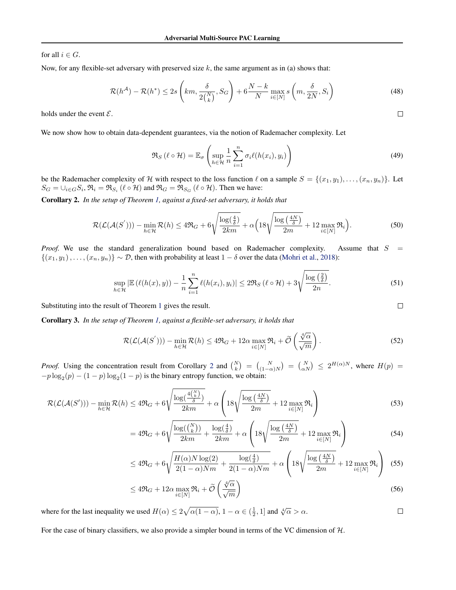for all  $i \in G$ .

Now, for any flexible-set adversary with preserved size  $k$ , the same argument as in (a) shows that:

$$
\mathcal{R}(h^{\mathcal{A}}) - \mathcal{R}(h^*) \le 2s \left( km, \frac{\delta}{2\binom{N}{k}}, S_G \right) + 6 \frac{N-k}{N} \max_{i \in [N]} s \left( m, \frac{\delta}{2N}, S_i \right) \tag{48}
$$

holds under the event  $\mathcal{E}$ .

We now show how to obtain data-dependent guarantees, via the notion of Rademacher complexity. Let

$$
\Re_S(\ell \circ \mathcal{H}) = \mathbb{E}_{\sigma}\left(\sup_{h \in \mathcal{H}} \frac{1}{n} \sum_{i=1}^n \sigma_i \ell(h(x_i), y_i)\right)
$$
(49)

be the Rademacher complexity of H with respect to the loss function  $\ell$  on a sample  $S = \{(x_1, y_1), \ldots, (x_n, y_n)\}\.$  Let  $S_G = \cup_{i \in G} S_i$ ,  $\Re_i = \Re_{S_i} (\ell \circ \mathcal{H})$  and  $\Re_G = \Re_{S_G} (\ell \circ \mathcal{H})$ . Then we have:

Corollary 2. *In the setup of Theorem 1, against a fixed-set adversary, it holds that*

$$
\mathcal{R}(\mathcal{L}(\mathcal{A}(S'))) - \min_{h \in \mathcal{H}} \mathcal{R}(h) \le 4\mathfrak{R}_G + 6\sqrt{\frac{\log(\frac{4}{\delta})}{2km}} + \alpha \Big(18\sqrt{\frac{\log(\frac{4N}{\delta})}{2m}} + 12\max_{i \in [N]}\mathfrak{R}_i\Big).
$$
 (50)

*Proof.* We use the standard generalization bound based on Rademacher complexity. Assume that  $S =$  $\{(x_1, y_1), \ldots, (x_n, y_n)\}\sim \mathcal{D}$ , then with probability at least  $1-\delta$  over the data (Mohri et al., 2018):

$$
\sup_{h \in \mathcal{H}} |\mathbb{E}\left(\ell(h(x), y)\right) - \frac{1}{n} \sum_{i=1}^{n} \ell(h(x_i), y_i)| \le 2\Re_S\left(\ell \circ \mathcal{H}\right) + 3\sqrt{\frac{\log\left(\frac{2}{\delta}\right)}{2n}}.\tag{51}
$$

Substituting into the result of Theorem 1 gives the result.

Corollary 3. *In the setup of Theorem 1, against a flexible-set adversary, it holds that*

$$
\mathcal{R}(\mathcal{L}(\mathcal{A}(S'))) - \min_{h \in \mathcal{H}} \mathcal{R}(h) \le 4\mathfrak{R}_G + 12\alpha \max_{i \in [N]} \mathfrak{R}_i + \widetilde{\mathcal{O}}\left(\frac{\sqrt[4]{\alpha}}{\sqrt{m}}\right).
$$
\n(52)

*Proof.* Using the concentration result from Corollary 2 and  $\binom{N}{k} = \binom{N}{(1-\alpha)N} = \binom{N}{\alpha N} \leq 2^{H(\alpha)N}$ , where  $H(p) =$  $-p \log_2(p) - (1-p) \log_2(1-p)$  is the binary entropy function, we obtain:

$$
\mathcal{R}(\mathcal{L}(\mathcal{A}(S'))) - \min_{h \in \mathcal{H}} \mathcal{R}(h) \le 4\mathfrak{R}_G + 6\sqrt{\frac{\log(\frac{4\binom{N}{k}}{\delta})}{2km}} + \alpha \left(18\sqrt{\frac{\log(\frac{4N}{\delta})}{2m}} + 12\max_{i \in [N]}\mathfrak{R}_i\right) \tag{53}
$$

$$
= 4\Re_G + 6\sqrt{\frac{\log(\binom{N}{k})}{2km} + \frac{\log(\frac{4}{\delta})}{2km}} + \alpha \left(18\sqrt{\frac{\log(\frac{4N}{\delta})}{2m}} + 12 \max_{i \in [N]} \Re_i\right) \tag{54}
$$

$$
\leq 4\Re_G + 6\sqrt{\frac{H(\alpha)N\log(2)}{2(1-\alpha)Nm} + \frac{\log(\frac{4}{\delta})}{2(1-\alpha)Nm}} + \alpha\left(18\sqrt{\frac{\log(\frac{4N}{\delta})}{2m}} + 12\max_{i\in[N]}\Re_i\right) \tag{55}
$$

$$
\leq 4\Re_G + 12\alpha \max_{i \in [N]} \Re_i + \widetilde{\mathcal{O}}\left(\frac{\sqrt[4]{\alpha}}{\sqrt{m}}\right) \tag{56}
$$

where for the last inequality we used  $H(\alpha) \leq 2\sqrt{\alpha(1-\alpha)}$ ,  $1-\alpha \in (\frac{1}{2}, 1]$  and  $\sqrt[4]{\alpha} > \alpha$ .

For the case of binary classifiers, we also provide a simpler bound in terms of the VC dimension of  $H$ .

 $\Box$ 

 $\Box$ 

 $\Box$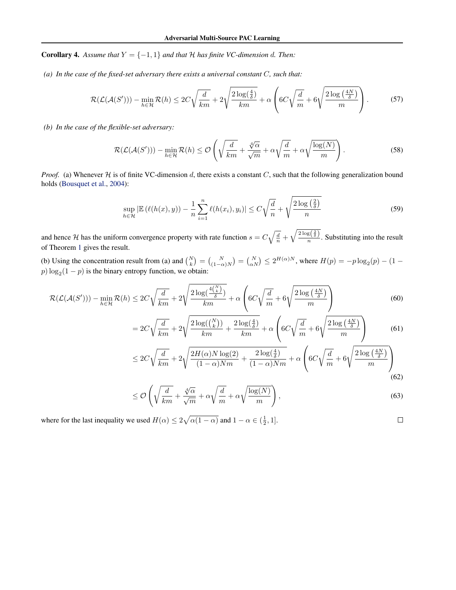**Corollary 4.** Assume that  $Y = \{-1, 1\}$  and that  $H$  has finite VC-dimension d. Then:

*(a) In the case of the fixed-set adversary there exists a universal constant* C*, such that:*

$$
\mathcal{R}(\mathcal{L}(\mathcal{A}(S'))) - \min_{h \in \mathcal{H}} \mathcal{R}(h) \le 2C\sqrt{\frac{d}{km}} + 2\sqrt{\frac{2\log(\frac{4}{\delta})}{km}} + \alpha \left(6C\sqrt{\frac{d}{m}} + 6\sqrt{\frac{2\log(\frac{4N}{\delta})}{m}}\right).
$$
 (57)

*(b) In the case of the flexible-set adversary:*

$$
\mathcal{R}(\mathcal{L}(\mathcal{A}(S'))) - \min_{h \in \mathcal{H}} \mathcal{R}(h) \leq \mathcal{O}\left(\sqrt{\frac{d}{km}} + \frac{\sqrt[4]{\alpha}}{\sqrt{m}} + \alpha\sqrt{\frac{d}{m}} + \alpha\sqrt{\frac{\log(N)}{m}}\right).
$$
\n(58)

*Proof.* (a) Whenever  $H$  is of finite VC-dimension d, there exists a constant C, such that the following generalization bound holds (Bousquet et al., 2004):

$$
\sup_{h \in \mathcal{H}} |\mathbb{E}\left(\ell(h(x), y)\right) - \frac{1}{n} \sum_{i=1}^{n} \ell(h(x_i), y_i)| \le C\sqrt{\frac{d}{n}} + \sqrt{\frac{2\log\left(\frac{2}{\delta}\right)}{n}}\tag{59}
$$

and hence H has the uniform convergence property with rate function  $s = C\sqrt{\frac{d}{n}} + \sqrt{\frac{2\log(\frac{2}{\delta})}{n}}$ . Substituting into the result of Theorem 1 gives the result.

(b) Using the concentration result from (a) and  $\binom{N}{k} = \binom{N}{(1-\alpha)N} = \binom{N}{\alpha N} \le 2^{H(\alpha)N}$ , where  $H(p) = -p \log_2(p) - (1-p) \log_2(p)$  $p) \log_2(1-p)$  is the binary entropy function, we obtain:

$$
\mathcal{R}(\mathcal{L}(\mathcal{A}(S'))) - \min_{h \in \mathcal{H}} \mathcal{R}(h) \le 2C\sqrt{\frac{d}{km}} + 2\sqrt{\frac{2\log(\frac{4\binom{N}{k}}{\delta})}{km}} + \alpha\left(6C\sqrt{\frac{d}{m}} + 6\sqrt{\frac{2\log(\frac{4N}{\delta})}{m}}\right) \tag{60}
$$

$$
=2C\sqrt{\frac{d}{km}}+2\sqrt{\frac{2\log(\binom{N}{k})}{km}+\frac{2\log(\frac{4}{\delta})}{km}}+\alpha\left(6C\sqrt{\frac{d}{m}}+6\sqrt{\frac{2\log(\frac{4N}{\delta})}{m}}\right) \tag{61}
$$

$$
\leq 2C\sqrt{\frac{d}{km}} + 2\sqrt{\frac{2H(\alpha)N\log(2)}{(1-\alpha)Nm} + \frac{2\log(\frac{4}{\delta})}{(1-\alpha)Nm}} + \alpha\left(6C\sqrt{\frac{d}{m}} + 6\sqrt{\frac{2\log(\frac{4N}{\delta})}{m}}\right)
$$
\n(62)

$$
\leq \mathcal{O}\left(\sqrt{\frac{d}{km}} + \frac{\sqrt[4]{\alpha}}{\sqrt{m}} + \alpha\sqrt{\frac{d}{m}} + \alpha\sqrt{\frac{\log(N)}{m}}\right),\tag{63}
$$

 $\Box$ 

where for the last inequality we used  $H(\alpha) \leq 2\sqrt{\alpha(1-\alpha)}$  and  $1-\alpha \in (\frac{1}{2}, 1]$ .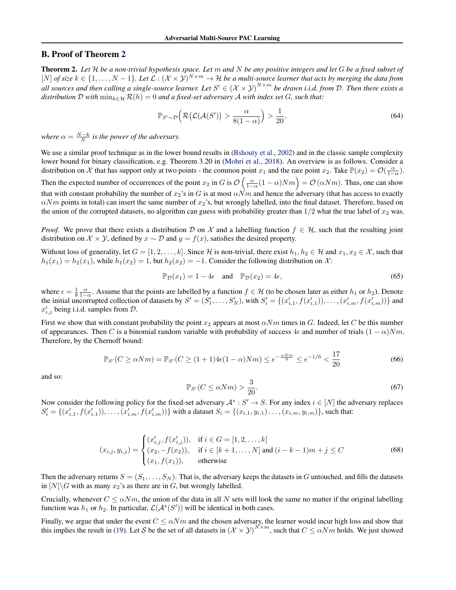# B. Proof of Theorem 2

Theorem 2. *Let* H *be a non-trivial hypothesis space. Let* m *and* N *be any positive integers and let* G *be a fixed subset of*  $[N]$  *of size*  $k \in \{1,\ldots,N-1\}$ . Let  $\mathcal{L}: (\mathcal{X} \times \mathcal{Y})^{N \times m} \to \mathcal{H}$  be a multi-source learner that acts by merging the data from all sources and then calling a single-source learner. Let  $S' \in (\mathcal{X} \times \mathcal{Y})^{N \times m}$  be drawn i.i.d. from D. Then there exists a *distribution*  $D$  *with*  $\min_{h \in \mathcal{H}} \mathcal{R}(h) = 0$  *and a fixed-set adversary*  $A$  *with index set*  $G$ *, such that:* 

$$
\mathbb{P}_{S' \sim \mathcal{D}}\left(\mathcal{R}\left(\mathcal{L}(\mathcal{A}(S'))\right) > \frac{\alpha}{8(1-\alpha)}\right) > \frac{1}{20},\tag{64}
$$

*where*  $\alpha = \frac{N-k}{N}$  *is the power of the adversary.* 

We use a similar proof technique as in the lower bound results in (Bshouty et al., 2002) and in the classic sample complexity lower bound for binary classification, e.g. Theorem 3.20 in (Mohri et al., 2018). An overview is as follows. Consider a distribution on X that has support only at two points - the common point  $x_1$  and the rare point  $x_2$ . Take  $\mathbb{P}(x_2) = \mathcal{O}(\frac{\alpha}{1-\alpha})$ .

Then the expected number of occurrences of the point  $x_2$  in G is  $\mathcal{O}\left(\frac{\alpha}{1-\alpha}(1-\alpha)Nm\right) = \mathcal{O}\left(\alpha Nm\right)$ . Thus, one can show that with constant probability the number of  $x_2$ 's in G is at most  $\alpha\overrightarrow{N}m$  and hence the adversary (that has access to exactly  $\alpha Nm$  points in total) can insert the same number of  $x_2$ 's, but wrongly labelled, into the final dataset. Therefore, based on the union of the corrupted datasets, no algorithm can guess with probability greater than  $1/2$  what the true label of  $x_2$  was.

*Proof.* We prove that there exists a distribution D on X and a labelling function  $f \in \mathcal{H}$ , such that the resulting joint distribution on  $\mathcal{X} \times \mathcal{Y}$ , defined by  $x \sim \mathcal{D}$  and  $y = f(x)$ , satisfies the desired property.

Without loss of generality, let  $G = [1, 2, \ldots, k]$ . Since H is non-trivial, there exist  $h_1, h_2 \in \mathcal{H}$  and  $x_1, x_2 \in \mathcal{X}$ , such that  $h_1(x_1) = h_2(x_1)$ , while  $h_1(x_2) = 1$ , but  $h_2(x_2) = -1$ . Consider the following distribution on X:

$$
\mathbb{P}_{\mathcal{D}}(x_1) = 1 - 4\epsilon \quad \text{and} \quad \mathbb{P}_{\mathcal{D}}(x_2) = 4\epsilon,\tag{65}
$$

where  $\epsilon = \frac{1}{8} \frac{\alpha}{1-\alpha}$ . Assume that the points are labelled by a function  $f \in \mathcal{H}$  (to be chosen later as either  $h_1$  or  $h_2$ ). Denote the initial uncorrupted collection of datasets by  $S' = (S'_1, \ldots, S'_N)$ , with  $S'_i = \{(x'_{i,1}, f(x'_{i,1})), \ldots, (x'_{i,m}, f(x'_{i,m}))\}$  and  $x'_{i,j}$  being i.i.d. samples from  $\mathcal{D}$ .

First we show that with constant probability the point  $x_2$  appears at most  $\alpha Nm$  times in G. Indeed, let C be this number of appearances. Then C is a binomial random variable with probability of success  $4\epsilon$  and number of trials  $(1 - \alpha)Nm$ . Therefore, by the Chernoff bound:

$$
\mathbb{P}_{S'}(C \ge \alpha Nm) = \mathbb{P}_{S'}(C \ge (1+1)4\epsilon(1-\alpha)Nm) \le e^{-\frac{\alpha Nm}{6}} \le e^{-1/6} < \frac{17}{20} \tag{66}
$$

and so:

$$
\mathbb{P}_{S'}(C \le \alpha Nm) > \frac{3}{20}.\tag{67}
$$

Now consider the following policy for the fixed-set adversary  $A^s : S' \to S$ . For any index  $i \in [N]$  the adversary replaces  $S'_i = \{(x'_{i,1}, f(x'_{i,1})), \ldots, (x'_{i,m}, f(x'_{i,m}))\}$  with a dataset  $S_i = \{(x_{i,1}, y_{i,1}), \ldots, (x_{i,m}, y_{i,m})\}$ , such that:

$$
(x_{i,j}, y_{i,j}) = \begin{cases} (x'_{i,j}, f(x'_{i,j})), & \text{if } i \in G = [1, 2, \dots, k] \\ (x_2, -f(x_2)), & \text{if } i \in [k+1, \dots, N] \text{ and } (i-k-1)m + j \le C \\ (x_1, f(x_1)), & \text{otherwise} \end{cases}
$$
(68)

Then the adversary returns  $S = (S_1, \ldots, S_N)$ . That is, the adversary keeps the datasets in G untouched, and fills the datasets in  $[N]\backslash G$  with as many  $x_2$ 's as there are in G, but wrongly labelled.

Crucially, whenever  $C \le \alpha Nm$ , the union of the data in all N sets will look the same no matter if the original labelling function was  $h_1$  or  $h_2$ . In particular,  $\mathcal{L}(\mathcal{A}^s(S'))$  will be identical in both cases.

Finally, we argue that under the event  $C \le \alpha Nm$  and the chosen adversary, the learner would incur high loss and show that this implies the result in (19). Let S be the set of all datasets in  $(\mathcal{X} \times \mathcal{Y})^{N \times m}$ , such that  $C \le \alpha Nm$  holds. We just showed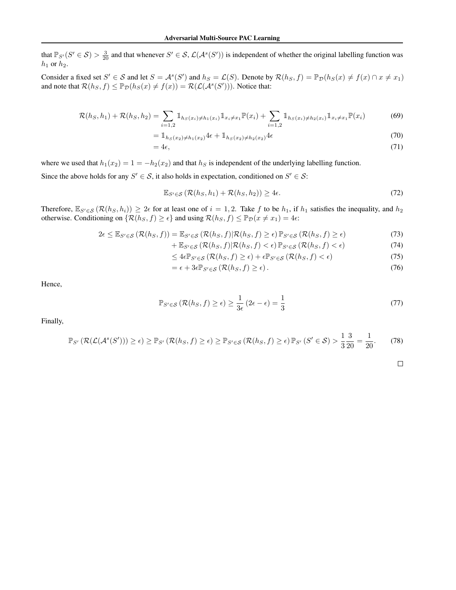that  $\mathbb{P}_{S'}(S' \in S) > \frac{3}{20}$  and that whenever  $S' \in S$ ,  $\mathcal{L}(\mathcal{A}^s(S'))$  is independent of whether the original labelling function was  $h_1$  or  $h_2$ .

Consider a fixed set  $S' \in S$  and let  $S = A^s(S')$  and  $h_S = \mathcal{L}(S)$ . Denote by  $\mathcal{R}(h_S, f) = \mathbb{P}_{\mathcal{D}}(h_S(x) \neq f(x) \cap x \neq x_1)$ and note that  $\mathcal{R}(h_S, f) \leq \mathbb{P}_{\mathcal{D}}(h_S(x) \neq f(x)) = \mathcal{R}(\mathcal{L}(\mathcal{A}^s(S')))$ . Notice that:

$$
\mathcal{R}(h_S, h_1) + \mathcal{R}(h_S, h_2) = \sum_{i=1,2} \mathbb{1}_{h_S(x_i) \neq h_1(x_i)} \mathbb{1}_{x_i \neq x_1} \mathbb{P}(x_i) + \sum_{i=1,2} \mathbb{1}_{h_S(x_i) \neq h_2(x_i)} \mathbb{1}_{x_i \neq x_1} \mathbb{P}(x_i)
$$
(69)

$$
= 1_{h_S(x_2) \neq h_1(x_2)} 4\epsilon + 1_{h_S(x_2) \neq h_2(x_2)} 4\epsilon
$$
\n(70)

$$
=4\epsilon,\tag{71}
$$

where we used that  $h_1(x_2) = 1 = -h_2(x_2)$  and that  $h_S$  is independent of the underlying labelling function.

Since the above holds for any  $S' \in S$ , it also holds in expectation, conditioned on  $S' \in S$ :

$$
\mathbb{E}_{S' \in \mathcal{S}} \left( \mathcal{R}(h_S, h_1) + \mathcal{R}(h_S, h_2) \right) \ge 4\epsilon. \tag{72}
$$

Therefore,  $\mathbb{E}_{S'\in\mathcal{S}}(\mathcal{R}(h_S, h_i)) \geq 2\epsilon$  for at least one of  $i = 1, 2$ . Take f to be  $h_1$ , if  $h_1$  satisfies the inequality, and  $h_2$ otherwise. Conditioning on  $\{\mathcal{R}(h_S, f) \geq \epsilon\}$  and using  $\mathcal{R}(h_S, f) \leq \mathbb{P}_{\mathcal{D}}(x \neq x_1) = 4\epsilon$ .

$$
2\epsilon \leq \mathbb{E}_{S' \in \mathcal{S}}\left(\mathcal{R}(h_S, f)\right) = \mathbb{E}_{S' \in \mathcal{S}}\left(\mathcal{R}(h_S, f)|\mathcal{R}(h_S, f) \geq \epsilon\right)\mathbb{P}_{S' \in \mathcal{S}}\left(\mathcal{R}(h_S, f) \geq \epsilon\right) \tag{73}
$$

$$
+\mathbb{E}_{S'\in\mathcal{S}}\left(\mathcal{R}(h_S,f)|\mathcal{R}(h_S,f)<\epsilon\right)\mathbb{P}_{S'\in\mathcal{S}}\left(\mathcal{R}(h_S,f)<\epsilon\right) \tag{74}
$$

$$
\leq 4\epsilon \mathbb{P}_{S' \in \mathcal{S}}\left(\mathcal{R}(h_S, f) \geq \epsilon\right) + \epsilon \mathbb{P}_{S' \in \mathcal{S}}\left(\mathcal{R}(h_S, f) < \epsilon\right) \tag{75}
$$

$$
= \epsilon + 3\epsilon \mathbb{P}_{S' \in \mathcal{S}}\left(\mathcal{R}(h_S, f) \ge \epsilon\right). \tag{76}
$$

Hence,

$$
\mathbb{P}_{S' \in \mathcal{S}}\left(\mathcal{R}(h_S, f) \ge \epsilon\right) \ge \frac{1}{3\epsilon} \left(2\epsilon - \epsilon\right) = \frac{1}{3} \tag{77}
$$

Finally,

$$
\mathbb{P}_{S'}\left(\mathcal{R}(\mathcal{L}(\mathcal{A}^s(S'))\right) \geq \epsilon) \geq \mathbb{P}_{S'}\left(\mathcal{R}(h_S, f) \geq \epsilon\right) \geq \mathbb{P}_{S' \in \mathcal{S}}\left(\mathcal{R}(h_S, f) \geq \epsilon\right) \mathbb{P}_{S'}\left(S' \in \mathcal{S}\right) > \frac{1}{3}\frac{3}{20} = \frac{1}{20}.\tag{78}
$$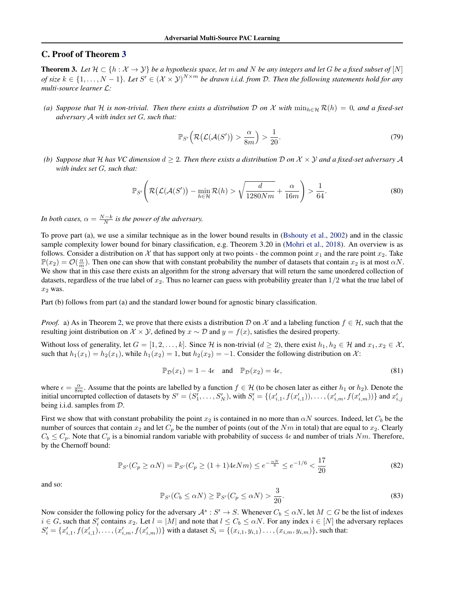# C. Proof of Theorem 3

**Theorem 3.** Let  $H \subset \{h : \mathcal{X} \to \mathcal{Y}\}$  be a hypothesis space, let m and N be any integers and let G be a fixed subset of  $[N]$ of size  $k \in \{1,\ldots,N-1\}$ . Let  $S' \in (\mathcal{X} \times \mathcal{Y})^{N \times m}$  be drawn i.i.d. from D. Then the following statements hold for any *multi-source learner* L*:*

*(a)* Suppose that H is non-trivial. Then there exists a distribution D on X with  $\min_{h \in H} \mathcal{R}(h) = 0$ , and a fixed-set *adversary* A *with index set* G*, such that:*

$$
\mathbb{P}_{S'}\left(\mathcal{R}\big(\mathcal{L}(\mathcal{A}(S')\big)>\frac{\alpha}{8m}\big)>\frac{1}{20}.\tag{79}
$$

*(b)* Suppose that H has VC dimension  $d \geq 2$ . Then there exists a distribution D on  $\mathcal{X} \times \mathcal{Y}$  and a fixed-set adversary A *with index set* G*, such that:*

$$
\mathbb{P}_{S'}\left(\mathcal{R}\big(\mathcal{L}(\mathcal{A}(S')\big) - \min_{h \in \mathcal{H}} \mathcal{R}(h) > \sqrt{\frac{d}{1280Nm}} + \frac{\alpha}{16m}\right) > \frac{1}{64}.\tag{80}
$$

*In both cases,*  $\alpha = \frac{N-k}{N}$  *is the power of the adversary.* 

To prove part (a), we use a similar technique as in the lower bound results in (Bshouty et al., 2002) and in the classic sample complexity lower bound for binary classification, e.g. Theorem 3.20 in (Mohri et al., 2018). An overview is as follows. Consider a distribution on X that has support only at two points - the common point  $x_1$  and the rare point  $x_2$ . Take  $\mathbb{P}(x_2) = \mathcal{O}(\frac{\alpha}{m})$ . Then one can show that with constant probability the number of datasets that contain  $x_2$  is at most  $\alpha N$ . We show that in this case there exists an algorithm for the strong adversary that will return the same unordered collection of datasets, regardless of the true label of  $x_2$ . Thus no learner can guess with probability greater than  $1/2$  what the true label of  $x_2$  was.

Part (b) follows from part (a) and the standard lower bound for agnostic binary classification.

*Proof.* a) As in Theorem 2, we prove that there exists a distribution D on X and a labeling function  $f \in H$ , such that the resulting joint distribution on  $\mathcal{X} \times \mathcal{Y}$ , defined by  $x \sim \mathcal{D}$  and  $y = f(x)$ , satisfies the desired property.

Without loss of generality, let  $G = [1, 2, \ldots, k]$ . Since H is non-trivial  $(d \ge 2)$ , there exist  $h_1, h_2 \in \mathcal{H}$  and  $x_1, x_2 \in \mathcal{X}$ , such that  $h_1(x_1) = h_2(x_1)$ , while  $h_1(x_2) = 1$ , but  $h_2(x_2) = -1$ . Consider the following distribution on X:

$$
\mathbb{P}_{\mathcal{D}}(x_1) = 1 - 4\epsilon \quad \text{and} \quad \mathbb{P}_{\mathcal{D}}(x_2) = 4\epsilon,\tag{81}
$$

where  $\epsilon = \frac{\alpha}{8m}$ . Assume that the points are labelled by a function  $f \in \mathcal{H}$  (to be chosen later as either  $h_1$  or  $h_2$ ). Denote the initial uncorrupted collection of datasets by  $S' = (S'_1, \ldots, S'_N)$ , with  $S'_i = \{(x'_{i,1}, f(x'_{i,1})), \ldots, (x'_{i,m}, f(x'_{i,m}))\}$  and  $x'_{i,j}$ being i.i.d. samples from D.

First we show that with constant probability the point  $x_2$  is contained in no more than  $\alpha N$  sources. Indeed, let  $C_b$  be the number of sources that contain  $x_2$  and let  $C_p$  be the number of points (out of the Nm in total) that are equal to  $x_2$ . Clearly  $C_b \leq C_p$ . Note that  $C_p$  is a binomial random variable with probability of success  $4\epsilon$  and number of trials  $Nm$ . Therefore, by the Chernoff bound:

$$
\mathbb{P}_{S'}(C_p \ge \alpha N) = \mathbb{P}_{S'}(C_p \ge (1+1)4\epsilon Nm) \le e^{-\frac{\alpha N}{6}} \le e^{-1/6} < \frac{17}{20} \tag{82}
$$

and so:

$$
\mathbb{P}_{S'}(C_b \le \alpha N) \ge \mathbb{P}_{S'}(C_p \le \alpha N) > \frac{3}{20}.
$$
\n(83)

Now consider the following policy for the adversary  $\mathcal{A}^s : S' \to S$ . Whenever  $C_b \leq \alpha N$ , let  $M \subset G$  be the list of indexes  $i \in G$ , such that  $S'_i$  contains  $x_2$ . Let  $l = |M|$  and note that  $l \leq C_b \leq \alpha N$ . For any index  $i \in [N]$  the adversary replaces  $S_i' = \{x'_{i,1}, f(x'_{i,1}), \ldots, (x'_{i,m}, f(x'_{i,m}))\}$  with a dataset  $S_i = \{(x_{i,1}, y_{i,1}) \ldots, (x_{i,m}, y_{i,m})\}$ , such that: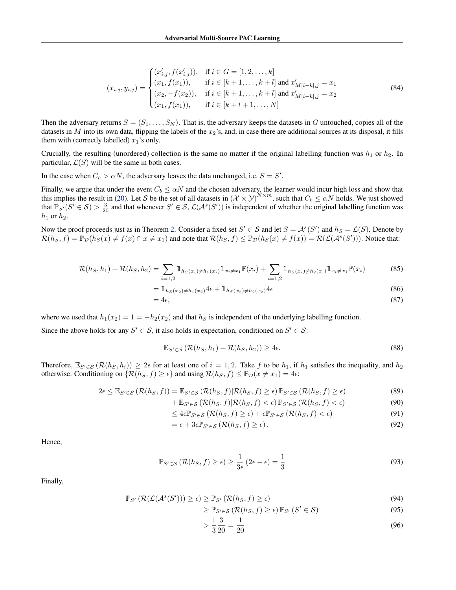$$
(x_{i,j}, y_{i,j}) = \begin{cases} (x'_{i,j}, f(x'_{i,j})), & \text{if } i \in G = [1, 2, \dots, k] \\ (x_1, f(x_1)), & \text{if } i \in [k+1, \dots, k+l] \text{ and } x'_{M[i-k], j} = x_1 \\ (x_2, -f(x_2)), & \text{if } i \in [k+1, \dots, k+l] \text{ and } x'_{M[i-k], j} = x_2 \\ (x_1, f(x_1)), & \text{if } i \in [k+l+1, \dots, N] \end{cases}
$$
(84)

Then the adversary returns  $S = (S_1, \ldots, S_N)$ . That is, the adversary keeps the datasets in G untouched, copies all of the datasets in M into its own data, flipping the labels of the  $x_2$ 's, and, in case there are additional sources at its disposal, it fills them with (correctly labelled)  $x_1$ 's only.

Crucially, the resulting (unordered) collection is the same no matter if the original labelling function was  $h_1$  or  $h_2$ . In particular,  $\mathcal{L}(S)$  will be the same in both cases.

In the case when  $C_b > \alpha N$ , the adversary leaves the data unchanged, i.e.  $S = S'$ .

Finally, we argue that under the event  $C_b \le \alpha N$  and the chosen adversary, the learner would incur high loss and show that this implies the result in (20). Let S be the set of all datasets in  $(\mathcal{X} \times \mathcal{Y})^{N \times m}$ , such that  $C_b \leq \alpha N$  holds. We just showed that  $\mathbb{P}_{S'}(S' \in S) > \frac{3}{20}$  and that whenever  $S' \in S$ ,  $\mathcal{L}(\mathcal{A}^s(S'))$  is independent of whether the original labelling function was  $h_1$  or  $h_2$ .

Now the proof proceeds just as in Theorem 2. Consider a fixed set  $S' \in S$  and let  $S = \mathcal{A}^s(S')$  and  $h_S = \mathcal{L}(S)$ . Denote by  $\mathcal{R}(h_S, f) = \mathbb{P}_{\mathcal{D}}(h_S(x) \neq f(x) \cap x \neq x_1)$  and note that  $\mathcal{R}(h_S, f) \leq \mathbb{P}_{\mathcal{D}}(h_S(x) \neq f(x)) = \mathcal{R}(\mathcal{L}(\mathcal{A}^s(S')))$ . Notice that:

$$
\mathcal{R}(h_S, h_1) + \mathcal{R}(h_S, h_2) = \sum_{i=1,2} \mathbb{1}_{h_S(x_i) \neq h_1(x_i)} \mathbb{1}_{x_i \neq x_1} \mathbb{P}(x_i) + \sum_{i=1,2} \mathbb{1}_{h_S(x_i) \neq h_2(x_i)} \mathbb{1}_{x_i \neq x_1} \mathbb{P}(x_i)
$$
(85)

$$
= 1\mathbb{1}_{h_S(x_2)\neq h_1(x_2)}4\epsilon + 1\mathbb{1}_{h_S(x_2)\neq h_2(x_2)}4\epsilon
$$
\n(86)

$$
=4\epsilon,\tag{87}
$$

where we used that  $h_1(x_2) = 1 = -h_2(x_2)$  and that  $h_S$  is independent of the underlying labelling function.

Since the above holds for any  $S' \in S$ , it also holds in expectation, conditioned on  $S' \in S$ :

$$
\mathbb{E}_{S' \in \mathcal{S}} \left( \mathcal{R}(h_S, h_1) + \mathcal{R}(h_S, h_2) \right) \ge 4\epsilon. \tag{88}
$$

Therefore,  $\mathbb{E}_{S'\in\mathcal{S}}(\mathcal{R}(h_S, h_i)) \geq 2\epsilon$  for at least one of  $i = 1, 2$ . Take f to be  $h_1$ , if  $h_1$  satisfies the inequality, and  $h_2$ otherwise. Conditioning on  $\{\mathcal{R}(h_S, f) \geq \epsilon\}$  and using  $\mathcal{R}(h_S, f) \leq \mathbb{P}_{\mathcal{D}}(x \neq x_1) = 4\epsilon$ :

$$
2\epsilon \leq \mathbb{E}_{S' \in \mathcal{S}}\left(\mathcal{R}(h_S, f)\right) = \mathbb{E}_{S' \in \mathcal{S}}\left(\mathcal{R}(h_S, f)|\mathcal{R}(h_S, f) \geq \epsilon\right)\mathbb{P}_{S' \in \mathcal{S}}\left(\mathcal{R}(h_S, f) \geq \epsilon\right) \tag{89}
$$

+ 
$$
\mathbb{E}_{S' \in \mathcal{S}} \left( \mathcal{R}(h_S, f) | \mathcal{R}(h_S, f) < \epsilon \right) \mathbb{P}_{S' \in \mathcal{S}} \left( \mathcal{R}(h_S, f) < \epsilon \right)
$$
 (90)

$$
\leq 4\epsilon \mathbb{P}_{S' \in \mathcal{S}}\left(\mathcal{R}(h_S, f) \geq \epsilon\right) + \epsilon \mathbb{P}_{S' \in \mathcal{S}}\left(\mathcal{R}(h_S, f) < \epsilon\right) \tag{91}
$$

$$
= \epsilon + 3\epsilon \mathbb{P}_{S' \in \mathcal{S}}\left(\mathcal{R}(h_S, f) \ge \epsilon\right). \tag{92}
$$

Hence,

$$
\mathbb{P}_{S' \in \mathcal{S}}\left(\mathcal{R}(h_S, f) \ge \epsilon\right) \ge \frac{1}{3\epsilon} \left(2\epsilon - \epsilon\right) = \frac{1}{3}
$$
\n<sup>(93)</sup>

Finally,

$$
\mathbb{P}_{S'}\left(\mathcal{R}(\mathcal{L}(\mathcal{A}^s(S'))\right) \geq \epsilon) \geq \mathbb{P}_{S'}\left(\mathcal{R}(h_S, f) \geq \epsilon\right) \tag{94}
$$

$$
\geq \mathbb{P}_{S' \in \mathcal{S}} \left( \mathcal{R}(h_S, f) \geq \epsilon \right) \mathbb{P}_{S'} \left( S' \in \mathcal{S} \right) \tag{95}
$$

$$
> \frac{1}{3} \frac{3}{20} = \frac{1}{20}.\tag{96}
$$